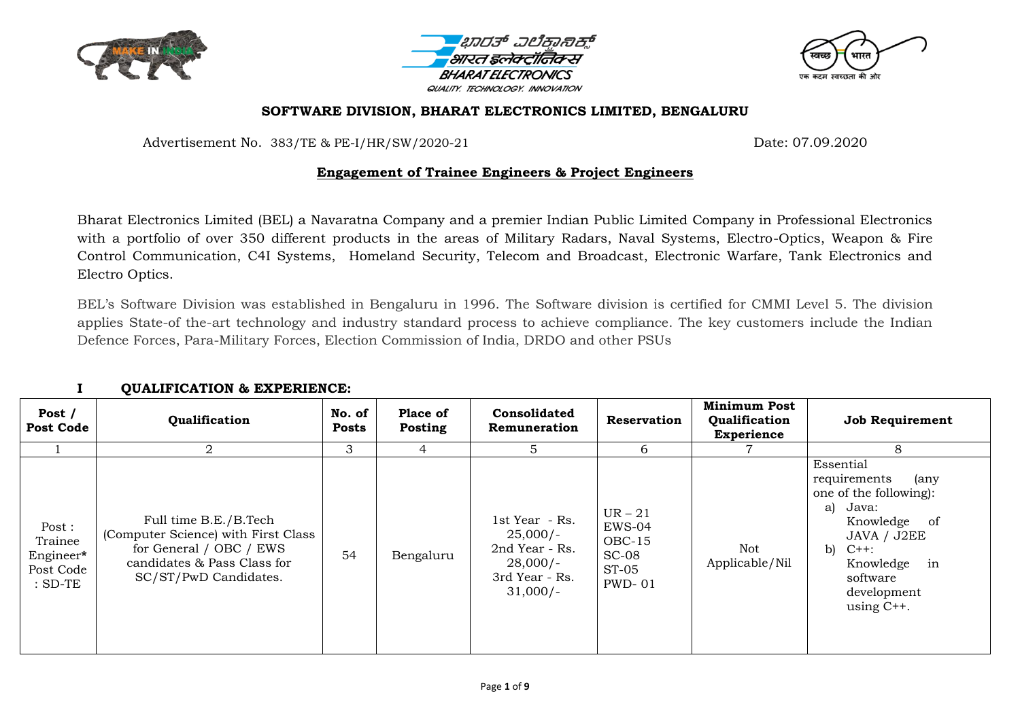





#### **SOFTWARE DIVISION, BHARAT ELECTRONICS LIMITED, BENGALURU**

Advertisement No. 383/TE & PE-I/HR/SW/2020-21 Date: 07.09.2020

### **Engagement of Trainee Engineers & Project Engineers**

Bharat Electronics Limited (BEL) a Navaratna Company and a premier Indian Public Limited Company in Professional Electronics with a portfolio of over 350 different products in the areas of Military Radars, Naval Systems, Electro-Optics, Weapon & Fire Control Communication, C4I Systems, Homeland Security, Telecom and Broadcast, Electronic Warfare, Tank Electronics and Electro Optics.

BEL"s Software Division was established in Bengaluru in 1996. The Software division is certified for CMMI Level 5. The division applies State-of the-art technology and industry standard process to achieve compliance. The key customers include the Indian Defence Forces, Para-Military Forces, Election Commission of India, DRDO and other PSUs

| Post /<br><b>Post Code</b>                             | Qualification                                                                                                                                   | No. of<br>Posts | Place of<br>Posting | <b>Consolidated</b><br>Remuneration                                                          | Reservation                                                          | <b>Minimum Post</b><br>Qualification<br><b>Experience</b> | <b>Job Requirement</b>                                                                                                                                                                       |
|--------------------------------------------------------|-------------------------------------------------------------------------------------------------------------------------------------------------|-----------------|---------------------|----------------------------------------------------------------------------------------------|----------------------------------------------------------------------|-----------------------------------------------------------|----------------------------------------------------------------------------------------------------------------------------------------------------------------------------------------------|
|                                                        | 2                                                                                                                                               | 3               | 4                   | 5                                                                                            | 6                                                                    |                                                           | 8                                                                                                                                                                                            |
| Post:<br>Trainee<br>Engineer*<br>Post Code<br>$:SD-TE$ | Full time B.E./B.Tech<br>(Computer Science) with First Class<br>for General / OBC / EWS<br>candidates & Pass Class for<br>SC/ST/PwD Candidates. | 54              | Bengaluru           | 1st Year - Rs.<br>$25,000/-$<br>2nd Year - Rs.<br>$28,000/-$<br>3rd Year - Rs.<br>$31,000/-$ | $UR-21$<br>EWS-04<br>$OBC-15$<br>$SC-08$<br>$ST-05$<br><b>PWD-01</b> | Not<br>Applicable/Nil                                     | Essential<br>requirements<br>(any<br>one of the following):<br>Java:<br>a)<br>Knowledge of<br>JAVA / J2EE<br>b) $C_{++}$ :<br>Knowledge<br>in<br>software<br>development<br>using $C_{++}$ . |

### **I QUALIFICATION & EXPERIENCE:**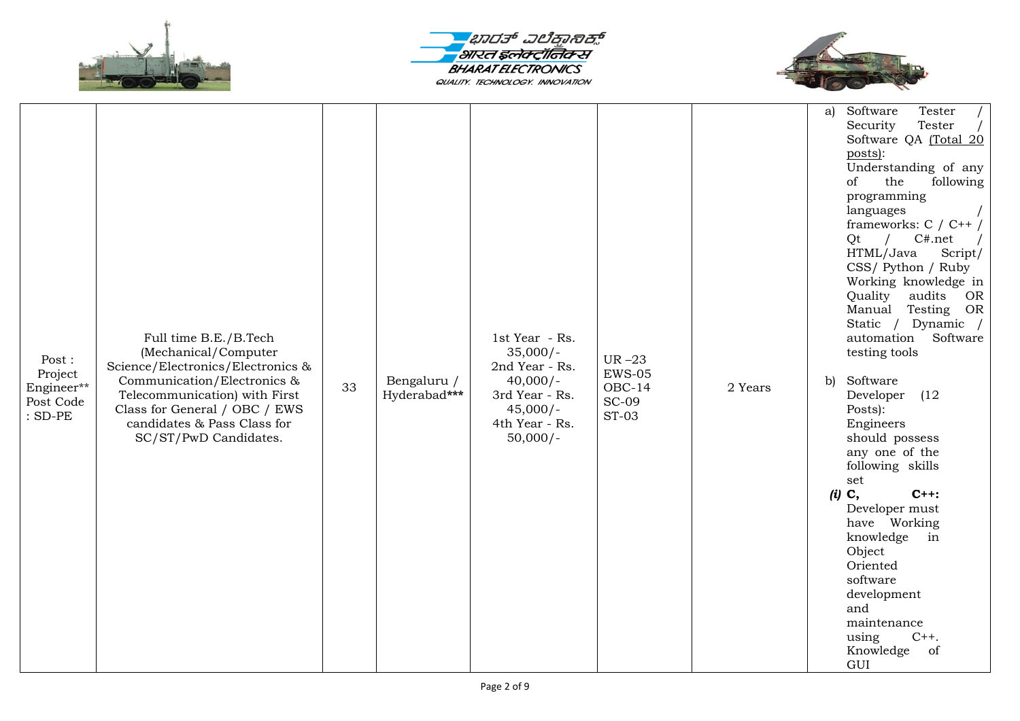





| Post:<br>Project<br>Engineer**<br>Post Code<br>$:$ SD-PE | Full time B.E./B.Tech<br>(Mechanical/Computer<br>Science/Electronics/Electronics &<br>Communication/Electronics &<br>Telecommunication) with First<br>Class for General / OBC / EWS<br>candidates & Pass Class for<br>SC/ST/PwD Candidates. | 33 | Bengaluru /<br>Hyderabad*** | 1st Year - Rs.<br>$35,000/-$<br>2nd Year - Rs.<br>$40,000/-$<br>3rd Year - Rs.<br>$45,000/-$<br>4th Year - Rs.<br>$50,000/-$ | UR $-23$<br>$EWS-05$<br>$OBC-14$<br><b>SC-09</b><br>$ST-03$ | 2 Years | Software<br>Tester<br>a)<br>Security<br>Tester<br>Software QA (Total 20<br>posts):<br>Understanding of any<br>following<br>the<br>of<br>programming<br>languages<br>frameworks: $C / C^{++}$<br>C#.net<br>$\sqrt{2}$<br>Qt<br>HTML/Java<br>Script/<br>CSS/ Python / Ruby<br>Working knowledge in<br>Quality<br>audits<br>OR<br>Manual<br>Testing<br>OR<br>Static / Dynamic /<br>automation<br>Software<br>testing tools<br>Software<br>b)<br>Developer<br>(12)<br>Posts):<br>Engineers<br>should possess<br>any one of the<br>following skills<br>set<br>$(i)$ C,<br>$C++:$<br>Developer must<br>have Working<br>knowledge<br>in<br>Object<br>Oriented<br>software<br>development<br>and<br>maintenance<br>$C++$ .<br>using<br>Knowledge<br>of<br>GUI |
|----------------------------------------------------------|---------------------------------------------------------------------------------------------------------------------------------------------------------------------------------------------------------------------------------------------|----|-----------------------------|------------------------------------------------------------------------------------------------------------------------------|-------------------------------------------------------------|---------|-------------------------------------------------------------------------------------------------------------------------------------------------------------------------------------------------------------------------------------------------------------------------------------------------------------------------------------------------------------------------------------------------------------------------------------------------------------------------------------------------------------------------------------------------------------------------------------------------------------------------------------------------------------------------------------------------------------------------------------------------------|
|----------------------------------------------------------|---------------------------------------------------------------------------------------------------------------------------------------------------------------------------------------------------------------------------------------------|----|-----------------------------|------------------------------------------------------------------------------------------------------------------------------|-------------------------------------------------------------|---------|-------------------------------------------------------------------------------------------------------------------------------------------------------------------------------------------------------------------------------------------------------------------------------------------------------------------------------------------------------------------------------------------------------------------------------------------------------------------------------------------------------------------------------------------------------------------------------------------------------------------------------------------------------------------------------------------------------------------------------------------------------|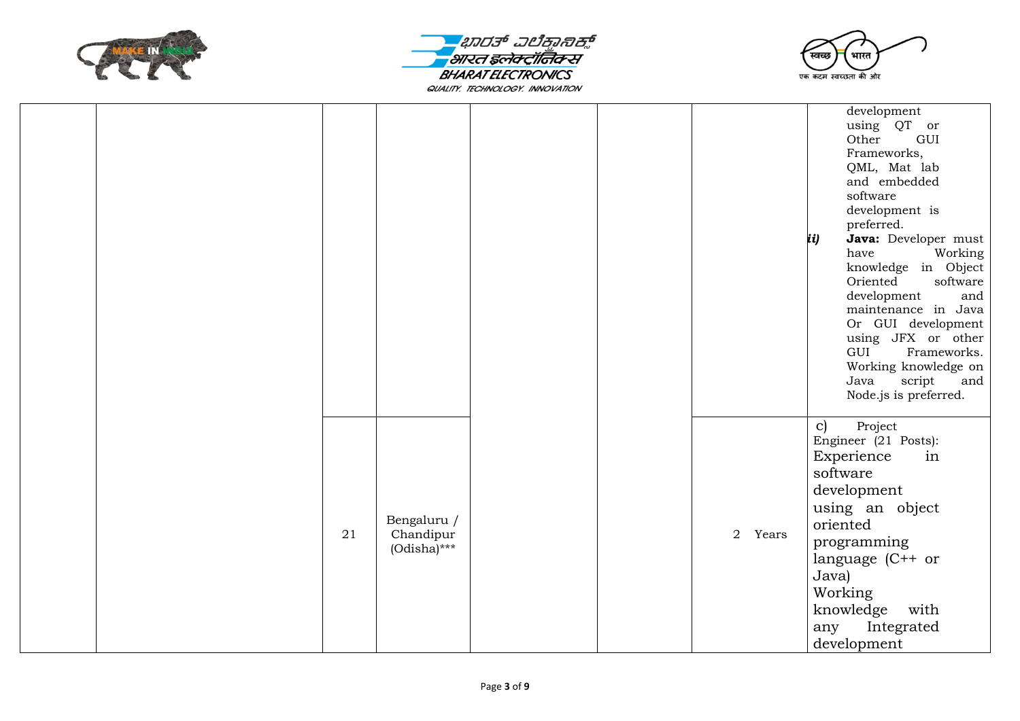





|  |    |                                            |  |         | development<br>using QT or<br>Other<br>GUI<br>Frameworks,<br>QML, Mat lab<br>and embedded<br>software<br>development is<br>preferred.<br>Java: Developer must<br>ii)<br>have<br>Working<br>knowledge in Object<br>software<br>Oriented<br>development<br>and<br>maintenance in Java<br>Or GUI development<br>using JFX or other<br>GUI<br>Frameworks.<br>Working knowledge on<br>script<br>Java<br>and<br>Node.js is preferred. |
|--|----|--------------------------------------------|--|---------|---------------------------------------------------------------------------------------------------------------------------------------------------------------------------------------------------------------------------------------------------------------------------------------------------------------------------------------------------------------------------------------------------------------------------------|
|  | 21 | Bengaluru /<br>Chandipur<br>$(Odisha)$ *** |  | 2 Years | $\mathbf{c}$<br>Project<br>Engineer (21 Posts):<br>Experience<br>in<br>software<br>development<br>using an object<br>oriented<br>programming<br>language (C++ or<br>Java)<br>Working<br>knowledge<br>with<br>Integrated<br>any<br>development                                                                                                                                                                                   |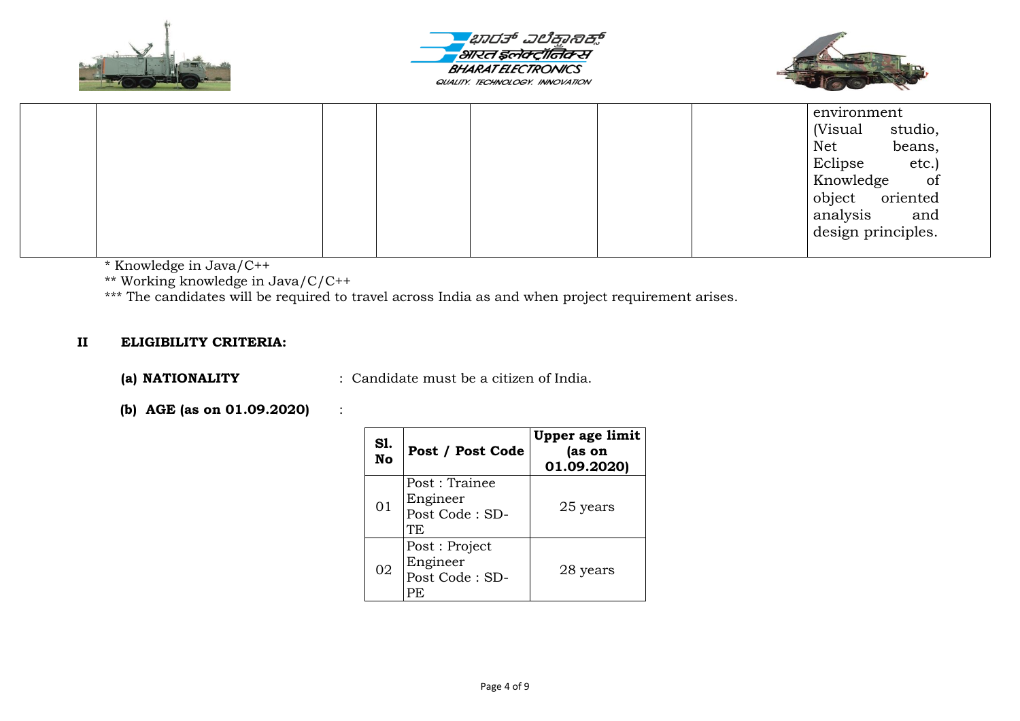





|  |  |  | environment        |         |
|--|--|--|--------------------|---------|
|  |  |  | (Visual            | studio, |
|  |  |  | Net                | beans,  |
|  |  |  | Eclipse            | etc.)   |
|  |  |  | Knowledge          | of      |
|  |  |  | object oriented    |         |
|  |  |  | analysis           | and     |
|  |  |  | design principles. |         |
|  |  |  |                    |         |

\* Knowledge in Java/C++

\*\* Working knowledge in Java/C/C++

\*\*\* The candidates will be required to travel across India as and when project requirement arises.

### **II ELIGIBILITY CRITERIA:**

**(a) NATIONALITY** : Candidate must be a citizen of India.

# **(b) AGE (as on 01.09.2020)** :

| Sl.<br>No | Post / Post Code                                   | Upper age limit<br>(as on<br>01.09.2020) |
|-----------|----------------------------------------------------|------------------------------------------|
| 01        | Post: Trainee<br>Engineer<br>Post Code: SD-<br>TF. | 25 years                                 |
| 02        | Post: Project<br>Engineer<br>Post Code: SD-<br>РE  | 28 years                                 |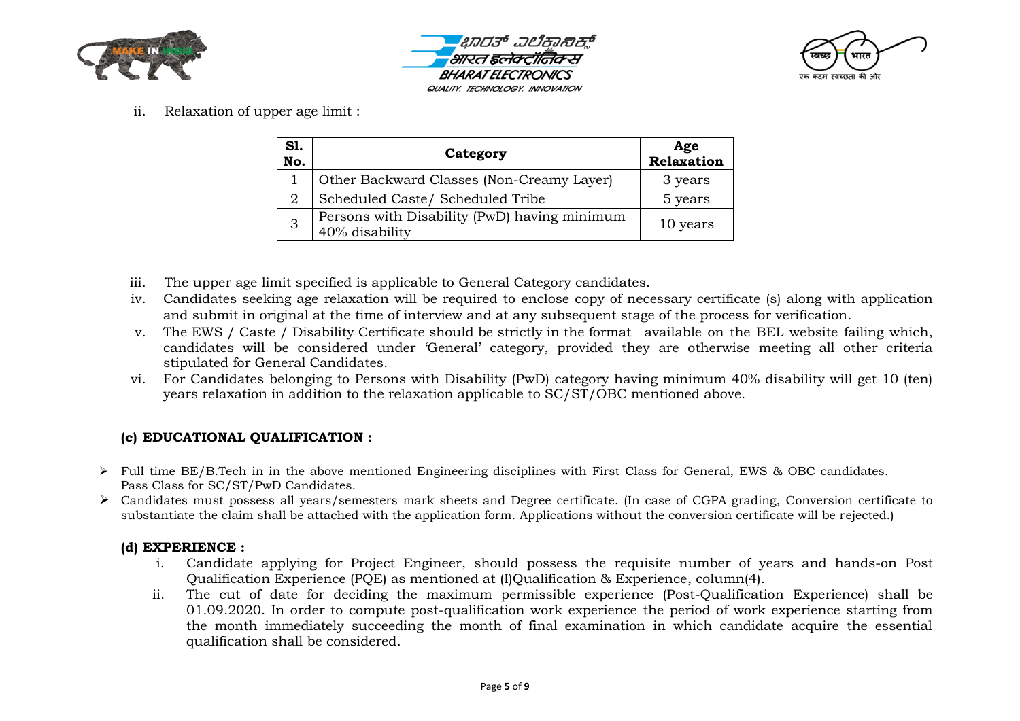





ii. Relaxation of upper age limit :

| S1.<br>No. | Category                                                       | Age<br>Relaxation |
|------------|----------------------------------------------------------------|-------------------|
|            | Other Backward Classes (Non-Creamy Layer)                      | 3 years           |
| 2          | Scheduled Caste/ Scheduled Tribe                               | 5 years           |
| 3          | Persons with Disability (PwD) having minimum<br>40% disability | 10 years          |

- iii. The upper age limit specified is applicable to General Category candidates.
- iv. Candidates seeking age relaxation will be required to enclose copy of necessary certificate (s) along with application and submit in original at the time of interview and at any subsequent stage of the process for verification.
- v. The EWS / Caste / Disability Certificate should be strictly in the format available on the BEL website failing which, candidates will be considered under "General" category, provided they are otherwise meeting all other criteria stipulated for General Candidates.
- vi. For Candidates belonging to Persons with Disability (PwD) category having minimum 40% disability will get 10 (ten) years relaxation in addition to the relaxation applicable to SC/ST/OBC mentioned above.

# **(c) EDUCATIONAL QUALIFICATION :**

- $\triangleright$  Full time BE/B.Tech in in the above mentioned Engineering disciplines with First Class for General, EWS & OBC candidates. Pass Class for SC/ST/PwD Candidates.
- Candidates must possess all years/semesters mark sheets and Degree certificate. (In case of CGPA grading, Conversion certificate to substantiate the claim shall be attached with the application form. Applications without the conversion certificate will be rejected.)

### **(d) EXPERIENCE :**

- i. Candidate applying for Project Engineer, should possess the requisite number of years and hands-on Post Qualification Experience (PQE) as mentioned at (I)Qualification & Experience, column(4).
- ii. The cut of date for deciding the maximum permissible experience (Post-Qualification Experience) shall be 01.09.2020. In order to compute post-qualification work experience the period of work experience starting from the month immediately succeeding the month of final examination in which candidate acquire the essential qualification shall be considered.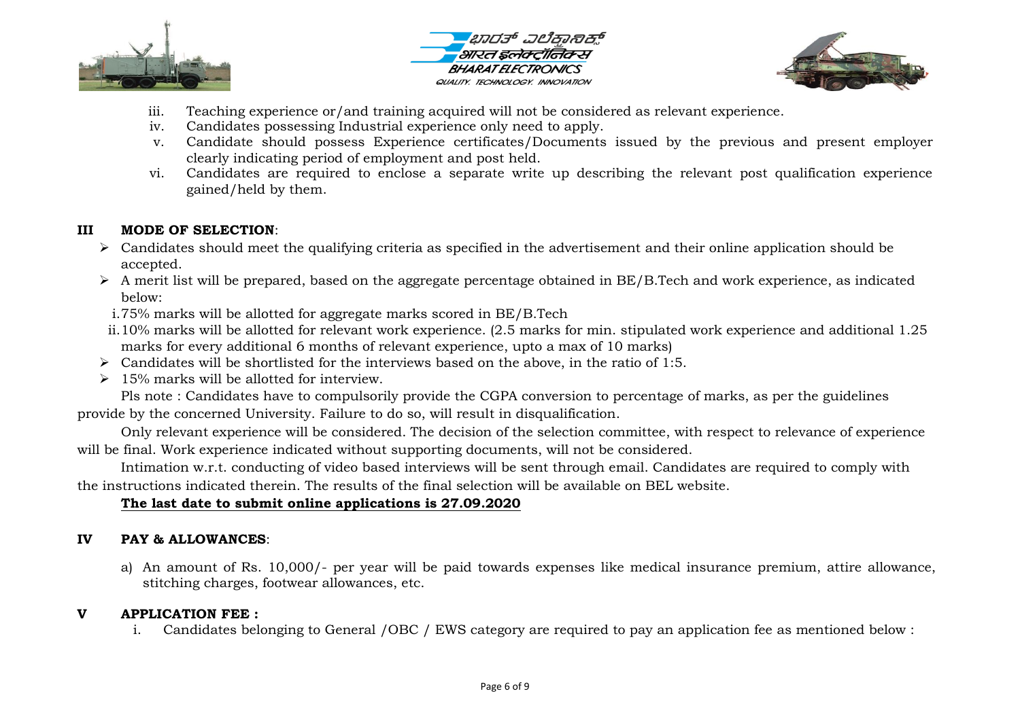





- iii. Teaching experience or/and training acquired will not be considered as relevant experience.
- iv. Candidates possessing Industrial experience only need to apply.
- v. Candidate should possess Experience certificates/Documents issued by the previous and present employer clearly indicating period of employment and post held.
- vi. Candidates are required to enclose a separate write up describing the relevant post qualification experience gained/held by them.

## **III MODE OF SELECTION**:

- $\triangleright$  Candidates should meet the qualifying criteria as specified in the advertisement and their online application should be accepted.
- $\triangleright$  A merit list will be prepared, based on the aggregate percentage obtained in BE/B.Tech and work experience, as indicated below:
- i.75% marks will be allotted for aggregate marks scored in BE/B.Tech
- ii.10% marks will be allotted for relevant work experience. (2.5 marks for min. stipulated work experience and additional 1.25 marks for every additional 6 months of relevant experience, upto a max of 10 marks)
- $\triangleright$  Candidates will be shortlisted for the interviews based on the above, in the ratio of 1:5.
- $\geq 15\%$  marks will be allotted for interview.

Pls note : Candidates have to compulsorily provide the CGPA conversion to percentage of marks, as per the guidelines provide by the concerned University. Failure to do so, will result in disqualification.

Only relevant experience will be considered. The decision of the selection committee, with respect to relevance of experience will be final. Work experience indicated without supporting documents, will not be considered.

Intimation w.r.t. conducting of video based interviews will be sent through email. Candidates are required to comply with the instructions indicated therein. The results of the final selection will be available on BEL website.

# **The last date to submit online applications is 27.09.2020**

# **IV PAY & ALLOWANCES**:

a) An amount of Rs. 10,000/- per year will be paid towards expenses like medical insurance premium, attire allowance, stitching charges, footwear allowances, etc.

## **V APPLICATION FEE :**

i. Candidates belonging to General /OBC / EWS category are required to pay an application fee as mentioned below :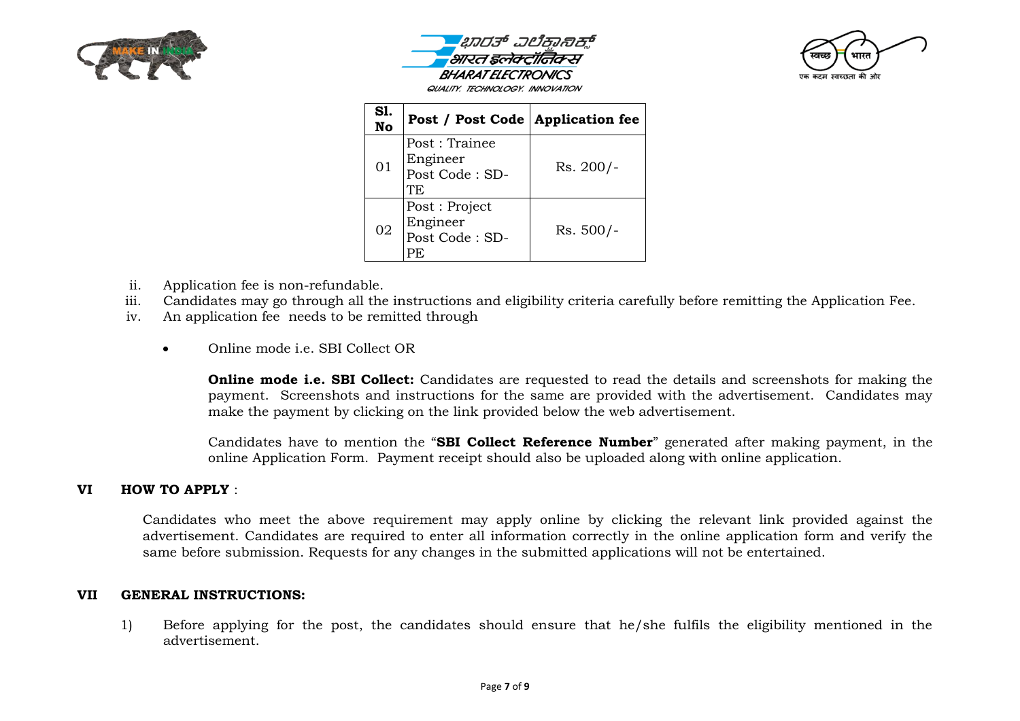





| S1.<br>No | Post / Post Code   Application fee                 |             |
|-----------|----------------------------------------------------|-------------|
| 01        | Post: Trainee<br>Engineer<br>Post Code: SD-<br>TF. | Rs. 200/-   |
| 02        | Post: Project<br>Engineer<br>Post Code: SD-<br>PF. | $Rs. 500/-$ |

- ii. Application fee is non-refundable.
- iii. Candidates may go through all the instructions and eligibility criteria carefully before remitting the Application Fee.
- iv. An application fee needs to be remitted through
	- Online mode i.e. SBI Collect OR

**Online mode i.e. SBI Collect:** Candidates are requested to read the details and screenshots for making the payment. Screenshots and instructions for the same are provided with the advertisement. Candidates may make the payment by clicking on the link provided below the web advertisement.

Candidates have to mention the "**SBI Collect Reference Number**" generated after making payment, in the online Application Form. Payment receipt should also be uploaded along with online application.

#### **VI HOW TO APPLY** :

Candidates who meet the above requirement may apply online by clicking the relevant link provided against the advertisement. Candidates are required to enter all information correctly in the online application form and verify the same before submission. Requests for any changes in the submitted applications will not be entertained.

#### **VII GENERAL INSTRUCTIONS:**

1) Before applying for the post, the candidates should ensure that he/she fulfils the eligibility mentioned in the advertisement.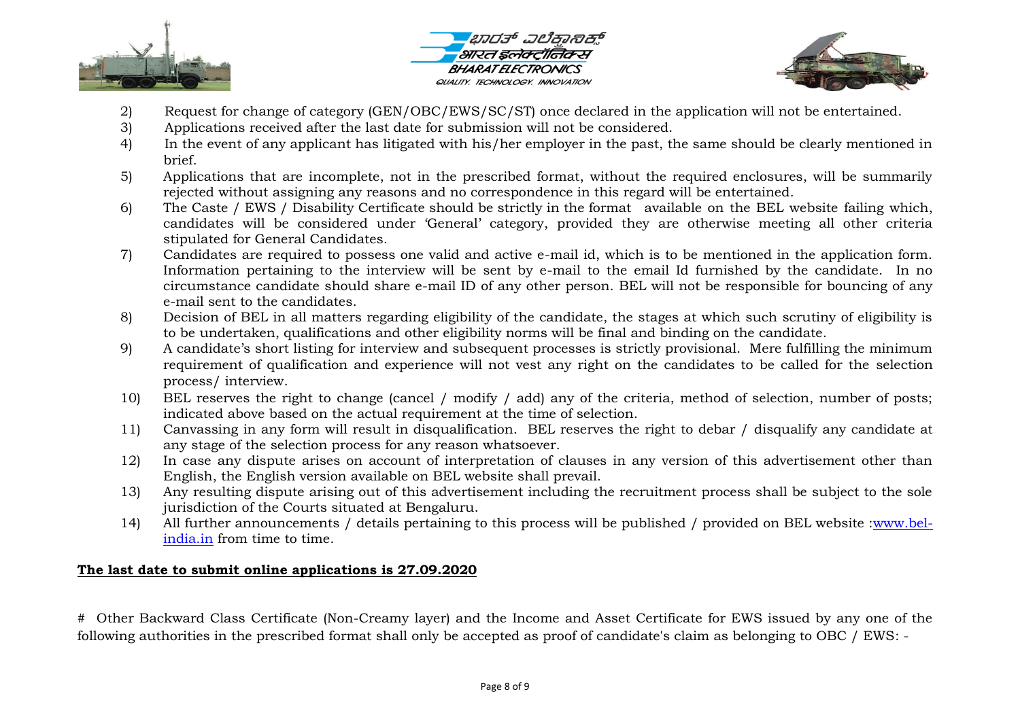





- 2) Request for change of category (GEN/OBC/EWS/SC/ST) once declared in the application will not be entertained.
- 3) Applications received after the last date for submission will not be considered.
- 4) In the event of any applicant has litigated with his/her employer in the past, the same should be clearly mentioned in brief.
- 5) Applications that are incomplete, not in the prescribed format, without the required enclosures, will be summarily rejected without assigning any reasons and no correspondence in this regard will be entertained.
- 6) The Caste / EWS / Disability Certificate should be strictly in the format available on the BEL website failing which, candidates will be considered under "General" category, provided they are otherwise meeting all other criteria stipulated for General Candidates.
- 7) Candidates are required to possess one valid and active e-mail id, which is to be mentioned in the application form. Information pertaining to the interview will be sent by e-mail to the email Id furnished by the candidate. In no circumstance candidate should share e-mail ID of any other person. BEL will not be responsible for bouncing of any e-mail sent to the candidates.
- 8) Decision of BEL in all matters regarding eligibility of the candidate, the stages at which such scrutiny of eligibility is to be undertaken, qualifications and other eligibility norms will be final and binding on the candidate.
- 9) A candidate"s short listing for interview and subsequent processes is strictly provisional. Mere fulfilling the minimum requirement of qualification and experience will not vest any right on the candidates to be called for the selection process/ interview.
- 10) BEL reserves the right to change (cancel / modify / add) any of the criteria, method of selection, number of posts; indicated above based on the actual requirement at the time of selection.
- 11) Canvassing in any form will result in disqualification. BEL reserves the right to debar / disqualify any candidate at any stage of the selection process for any reason whatsoever.
- 12) In case any dispute arises on account of interpretation of clauses in any version of this advertisement other than English, the English version available on BEL website shall prevail.
- 13) Any resulting dispute arising out of this advertisement including the recruitment process shall be subject to the sole jurisdiction of the Courts situated at Bengaluru.
- 14) All further announcements / details pertaining to this process will be published / provided on BEL website [:www.bel](http://www.bel-india.in/)[india.in](http://www.bel-india.in/) from time to time.

## **The last date to submit online applications is 27.09.2020**

# Other Backward Class Certificate (Non-Creamy layer) and the Income and Asset Certificate for EWS issued by any one of the following authorities in the prescribed format shall only be accepted as proof of candidate's claim as belonging to OBC / EWS: -